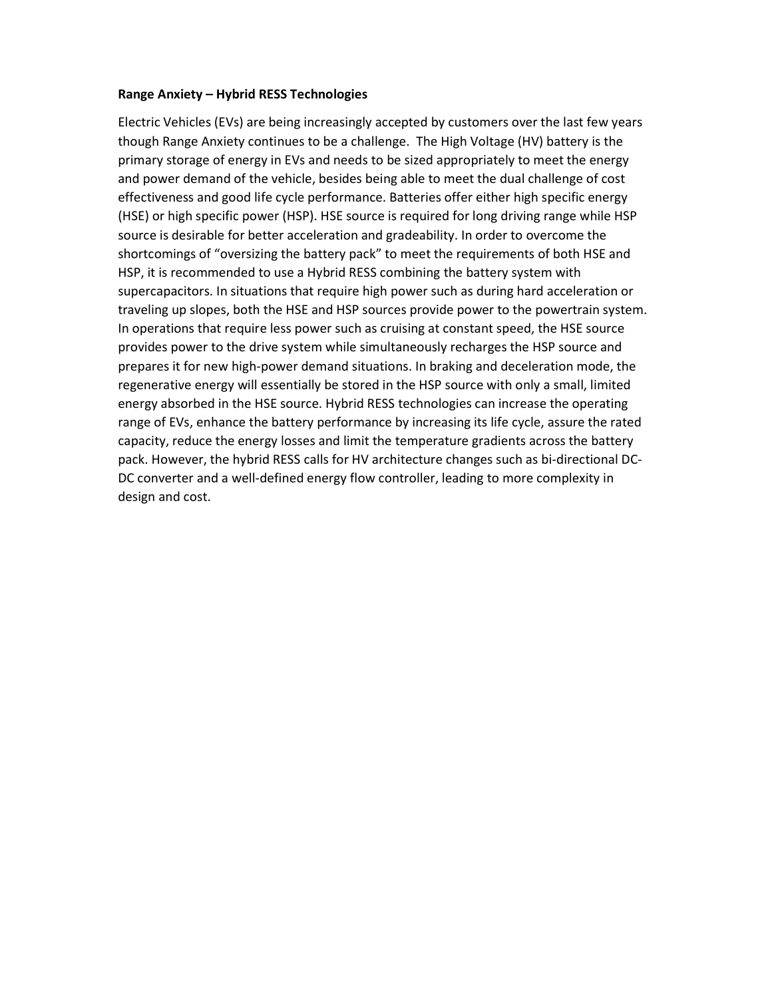## Range Anxiety – Hybrid RESS Technologies

Electric Vehicles (EVs) are being increasingly accepted by customers over the last few years though Range Anxiety continues to be a challenge. The High Voltage (HV) battery is the primary storage of energy in EVs and needs to be sized appropriately to meet the energy and power demand of the vehicle, besides being able to meet the dual challenge of cost effectiveness and good life cycle performance. Batteries offer either high specific energy (HSE) or high specific power (HSP). HSE source is required for long driving range while HSP source is desirable for better acceleration and gradeability. In order to overcome the shortcomings of "oversizing the battery pack" to meet the requirements of both HSE and HSP, it is recommended to use a Hybrid RESS combining the battery system with supercapacitors. In situations that require high power such as during hard acceleration or traveling up slopes, both the HSE and HSP sources provide power to the powertrain system. In operations that require less power such as cruising at constant speed, the HSE source provides power to the drive system while simultaneously recharges the HSP source and prepares it for new high-power demand situations. In braking and deceleration mode, the regenerative energy will essentially be stored in the HSP source with only a small, limited energy absorbed in the HSE source. Hybrid RESS technologies can increase the operating range of EVs, enhance the battery performance by increasing its life cycle, assure the rated capacity, reduce the energy losses and limit the temperature gradients across the battery pack. However, the hybrid RESS calls for HV architecture changes such as bi-directional DC-DC converter and a well-defined energy flow controller, leading to more complexity in design and cost.